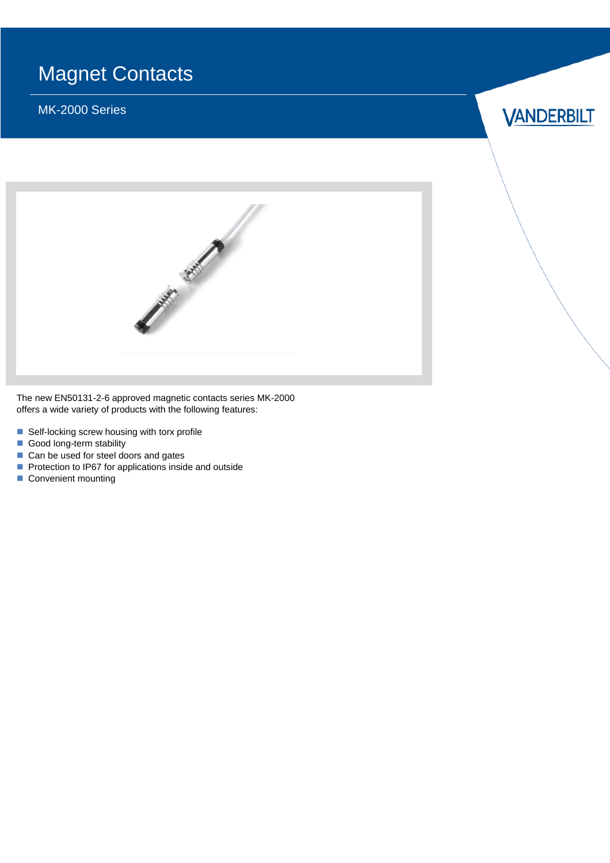### MK-2000 Series

**VANDERBILT** 



The new EN50131-2-6 approved magnetic contacts series MK-2000 offers a wide variety of products with the following features:

- Self-locking screw housing with torx profile
- Good long-term stability
- Can be used for steel doors and gates
- Protection to IP67 for applications inside and outside
- Convenient mounting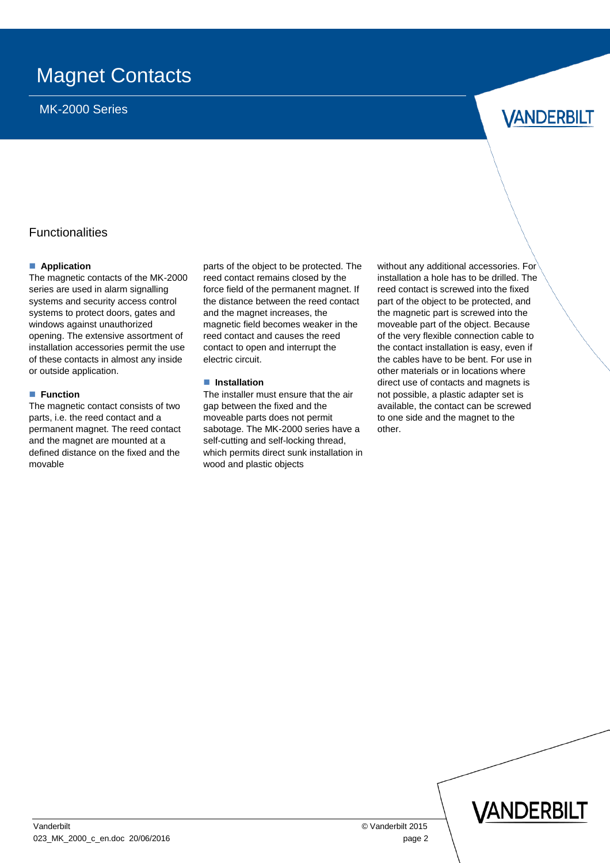### *VANDERBILT*

### Functionalities

#### **Application**

The magnetic contacts of the MK-2000 series are used in alarm signalling systems and security access control systems to protect doors, gates and windows against unauthorized opening. The extensive assortment of installation accessories permit the use of these contacts in almost any inside or outside application.

#### **Function**

The magnetic contact consists of two parts, i.e. the reed contact and a permanent magnet. The reed contact and the magnet are mounted at a defined distance on the fixed and the movable

parts of the object to be protected. The reed contact remains closed by the force field of the permanent magnet. If the distance between the reed contact and the magnet increases, the magnetic field becomes weaker in the reed contact and causes the reed contact to open and interrupt the electric circuit.

#### **Installation**

The installer must ensure that the air gap between the fixed and the moveable parts does not permit sabotage. The MK-2000 series have a self-cutting and self-locking thread, which permits direct sunk installation in wood and plastic objects

without any additional accessories. For installation a hole has to be drilled. The reed contact is screwed into the fixed part of the object to be protected, and the magnetic part is screwed into the moveable part of the object. Because of the very flexible connection cable to the contact installation is easy, even if the cables have to be bent. For use in other materials or in locations where direct use of contacts and magnets is not possible, a plastic adapter set is available, the contact can be screwed to one side and the magnet to the other.

**VANDERBILT**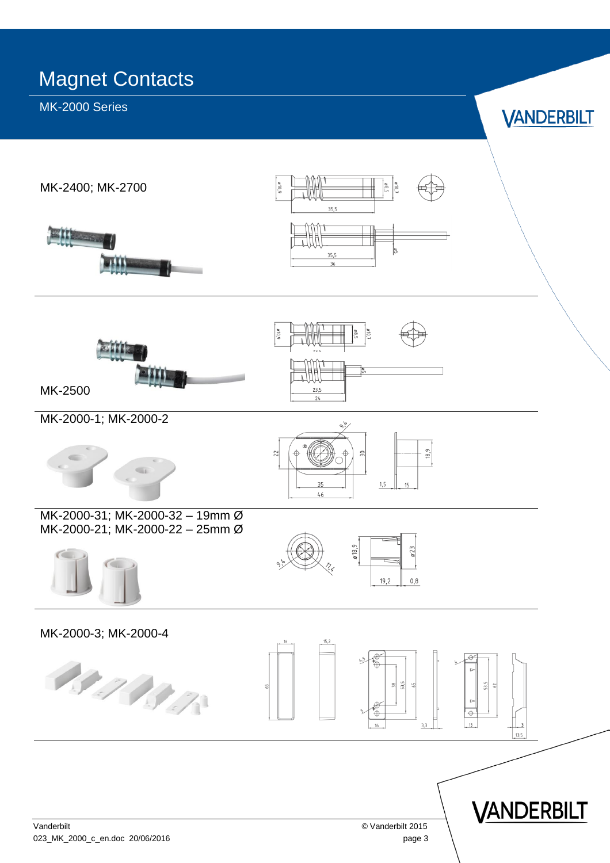MK-2000 Series

**VANDERBILT** 

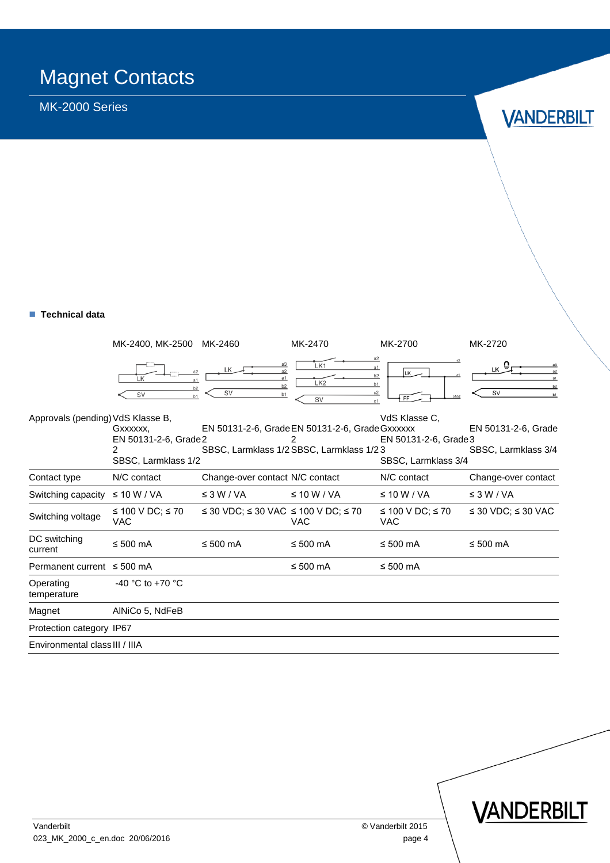### MK-2000 Series

**VANDERBILT** 

#### **Technical data**

|                                   | MK-2400, MK-2500                                                          | MK-2460                             | MK-2470                                                                                          | MK-2700                                                       | MK-2720                                    |  |
|-----------------------------------|---------------------------------------------------------------------------|-------------------------------------|--------------------------------------------------------------------------------------------------|---------------------------------------------------------------|--------------------------------------------|--|
|                                   | a <sub>2</sub><br>LK<br>a1<br>b2<br>SV<br>b1                              | a3<br>a2<br>a1<br>b2<br>SV<br>b1    | a2<br>LK1<br>a1<br>LK <sub>2</sub><br>b1<br>SV                                                   | lık.<br>b2<br>c2<br>b1/b2<br>c1                               | ட் ⊚,<br>a1<br>b2<br><b>SV</b><br>b1       |  |
| Approvals (pending) VdS Klasse B, | Gxxxxxx.<br>EN 50131-2-6, Grade 2<br>$\mathcal{P}$<br>SBSC, Larmklass 1/2 |                                     | EN 50131-2-6, Grade EN 50131-2-6, Grade Gxxxxxx<br>2<br>SBSC, Larmklass 1/2 SBSC, Larmklass 1/23 | VdS Klasse C.<br>EN 50131-2-6, Grade 3<br>SBSC, Larmklass 3/4 | EN 50131-2-6, Grade<br>SBSC, Larmklass 3/4 |  |
| Contact type                      | N/C contact                                                               | Change-over contact N/C contact     |                                                                                                  | N/C contact                                                   | Change-over contact                        |  |
| Switching capacity                | $\leq$ 10 W / VA                                                          | $\leq$ 3 W / VA                     | $\leq 10 W / VA$                                                                                 | $\leq 10 W / VA$                                              | $\leq$ 3 W / VA                            |  |
| Switching voltage                 | ≤ 100 V DC; ≤ 70<br><b>VAC</b>                                            | ≤ 30 VDC; ≤ 30 VAC ≤ 100 V DC; ≤ 70 | <b>VAC</b>                                                                                       | ≤ 100 V DC; ≤ 70<br><b>VAC</b>                                | ≤ 30 VDC; ≤ 30 VAC                         |  |
| DC switching<br>current           | ≤ 500 $mA$                                                                | $\leq 500$ mA                       | $\leq 500$ mA                                                                                    | $\leq 500$ mA                                                 | ≤ 500 $mA$                                 |  |
| Permanent current $\leq 500$ mA   |                                                                           |                                     | $\leq 500$ mA                                                                                    | $\leq 500$ mA                                                 |                                            |  |
| Operating<br>temperature          | -40 °C to +70 °C                                                          |                                     |                                                                                                  |                                                               |                                            |  |
| Magnet                            | AINiCo 5, NdFeB                                                           |                                     |                                                                                                  |                                                               |                                            |  |
| Protection category IP67          |                                                                           |                                     |                                                                                                  |                                                               |                                            |  |
| Environmental class III / IIIA    |                                                                           |                                     |                                                                                                  |                                                               |                                            |  |

VANDERBILT